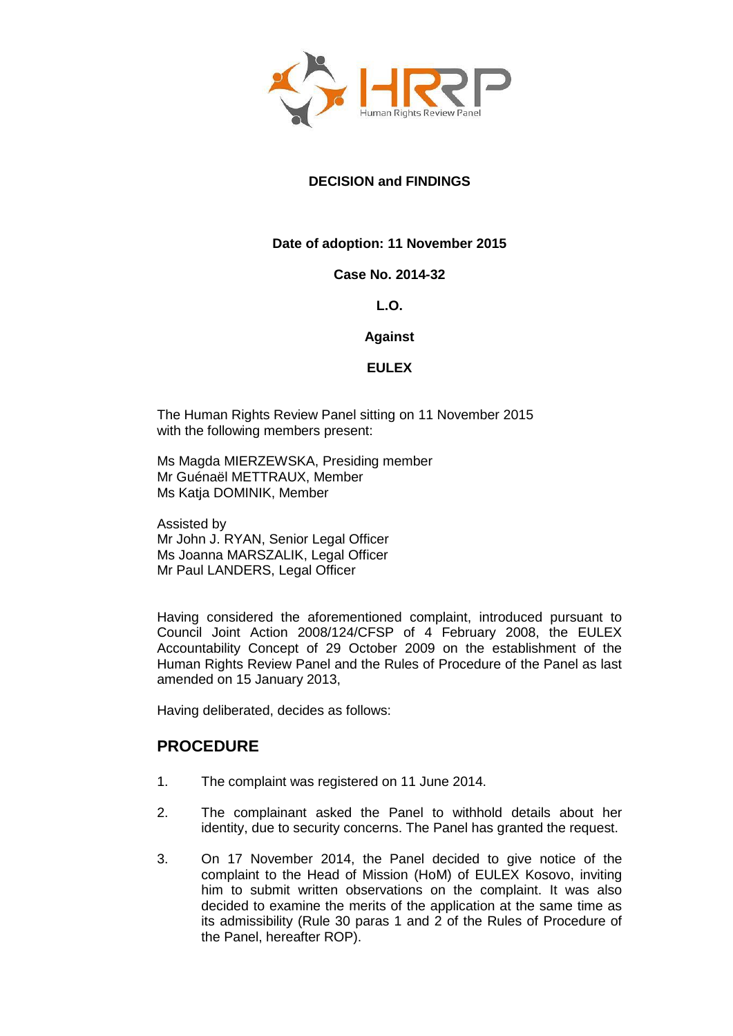

# **DECISION and FINDINGS**

# **Date of adoption: 11 November 2015**

### **Case No. 2014-32**

# **L.O.**

### **Against**

# **EULEX**

The Human Rights Review Panel sitting on 11 November 2015 with the following members present:

Ms Magda MIERZEWSKA, Presiding member Mr Guénaël METTRAUX, Member Ms Katja DOMINIK, Member

Assisted by Mr John J. RYAN, Senior Legal Officer Ms Joanna MARSZALIK, Legal Officer Mr Paul LANDERS, Legal Officer

Having considered the aforementioned complaint, introduced pursuant to Council Joint Action 2008/124/CFSP of 4 February 2008, the EULEX Accountability Concept of 29 October 2009 on the establishment of the Human Rights Review Panel and the Rules of Procedure of the Panel as last amended on 15 January 2013,

Having deliberated, decides as follows:

# **PROCEDURE**

- 1. The complaint was registered on 11 June 2014.
- 2. The complainant asked the Panel to withhold details about her identity, due to security concerns. The Panel has granted the request.
- 3. On 17 November 2014, the Panel decided to give notice of the complaint to the Head of Mission (HoM) of EULEX Kosovo, inviting him to submit written observations on the complaint. It was also decided to examine the merits of the application at the same time as its admissibility (Rule 30 paras 1 and 2 of the Rules of Procedure of the Panel, hereafter ROP).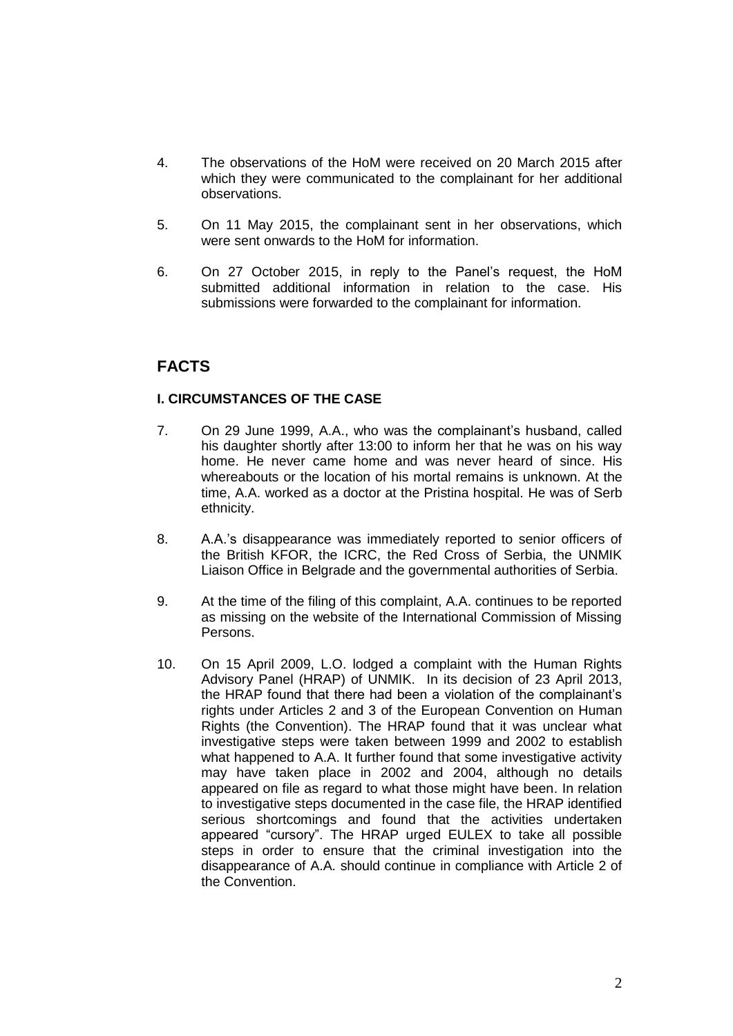- 4. The observations of the HoM were received on 20 March 2015 after which they were communicated to the complainant for her additional observations.
- 5. On 11 May 2015, the complainant sent in her observations, which were sent onwards to the HoM for information.
- 6. On 27 October 2015, in reply to the Panel's request, the HoM submitted additional information in relation to the case. His submissions were forwarded to the complainant for information.

# **FACTS**

# **I. CIRCUMSTANCES OF THE CASE**

- 7. On 29 June 1999, A.A., who was the complainant's husband, called his daughter shortly after 13:00 to inform her that he was on his way home. He never came home and was never heard of since. His whereabouts or the location of his mortal remains is unknown. At the time, A.A. worked as a doctor at the Pristina hospital. He was of Serb ethnicity.
- 8. A.A.'s disappearance was immediately reported to senior officers of the British KFOR, the ICRC, the Red Cross of Serbia, the UNMIK Liaison Office in Belgrade and the governmental authorities of Serbia.
- 9. At the time of the filing of this complaint, A.A. continues to be reported as missing on the website of the International Commission of Missing Persons.
- 10. On 15 April 2009, L.O. lodged a complaint with the Human Rights Advisory Panel (HRAP) of UNMIK. In its decision of 23 April 2013, the HRAP found that there had been a violation of the complainant's rights under Articles 2 and 3 of the European Convention on Human Rights (the Convention). The HRAP found that it was unclear what investigative steps were taken between 1999 and 2002 to establish what happened to A.A. It further found that some investigative activity may have taken place in 2002 and 2004, although no details appeared on file as regard to what those might have been. In relation to investigative steps documented in the case file, the HRAP identified serious shortcomings and found that the activities undertaken appeared "cursory". The HRAP urged EULEX to take all possible steps in order to ensure that the criminal investigation into the disappearance of A.A. should continue in compliance with Article 2 of the Convention.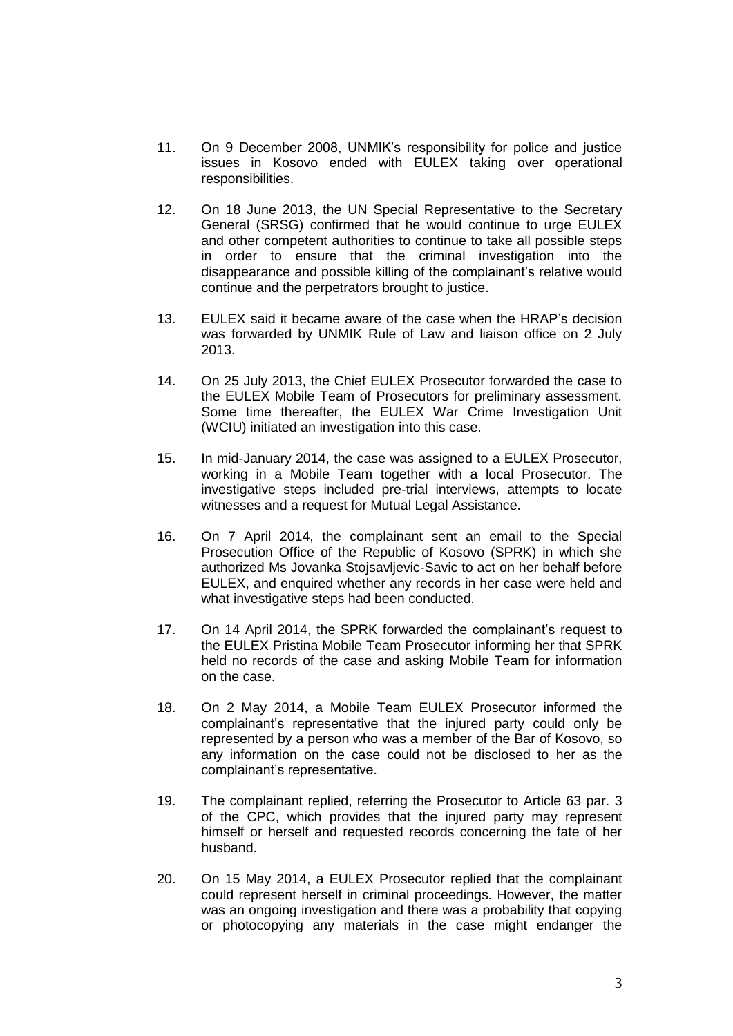- 11. On 9 December 2008, UNMIK's responsibility for police and justice issues in Kosovo ended with EULEX taking over operational responsibilities.
- 12. On 18 June 2013, the UN Special Representative to the Secretary General (SRSG) confirmed that he would continue to urge EULEX and other competent authorities to continue to take all possible steps in order to ensure that the criminal investigation into the disappearance and possible killing of the complainant's relative would continue and the perpetrators brought to justice.
- 13. EULEX said it became aware of the case when the HRAP's decision was forwarded by UNMIK Rule of Law and liaison office on 2 July 2013.
- 14. On 25 July 2013, the Chief EULEX Prosecutor forwarded the case to the EULEX Mobile Team of Prosecutors for preliminary assessment. Some time thereafter, the EULEX War Crime Investigation Unit (WCIU) initiated an investigation into this case.
- 15. In mid-January 2014, the case was assigned to a EULEX Prosecutor, working in a Mobile Team together with a local Prosecutor. The investigative steps included pre-trial interviews, attempts to locate witnesses and a request for Mutual Legal Assistance.
- 16. On 7 April 2014, the complainant sent an email to the Special Prosecution Office of the Republic of Kosovo (SPRK) in which she authorized Ms Jovanka Stojsavljevic-Savic to act on her behalf before EULEX, and enquired whether any records in her case were held and what investigative steps had been conducted.
- 17. On 14 April 2014, the SPRK forwarded the complainant's request to the EULEX Pristina Mobile Team Prosecutor informing her that SPRK held no records of the case and asking Mobile Team for information on the case.
- 18. On 2 May 2014, a Mobile Team EULEX Prosecutor informed the complainant's representative that the injured party could only be represented by a person who was a member of the Bar of Kosovo, so any information on the case could not be disclosed to her as the complainant's representative.
- 19. The complainant replied, referring the Prosecutor to Article 63 par. 3 of the CPC, which provides that the injured party may represent himself or herself and requested records concerning the fate of her husband.
- 20. On 15 May 2014, a EULEX Prosecutor replied that the complainant could represent herself in criminal proceedings. However, the matter was an ongoing investigation and there was a probability that copying or photocopying any materials in the case might endanger the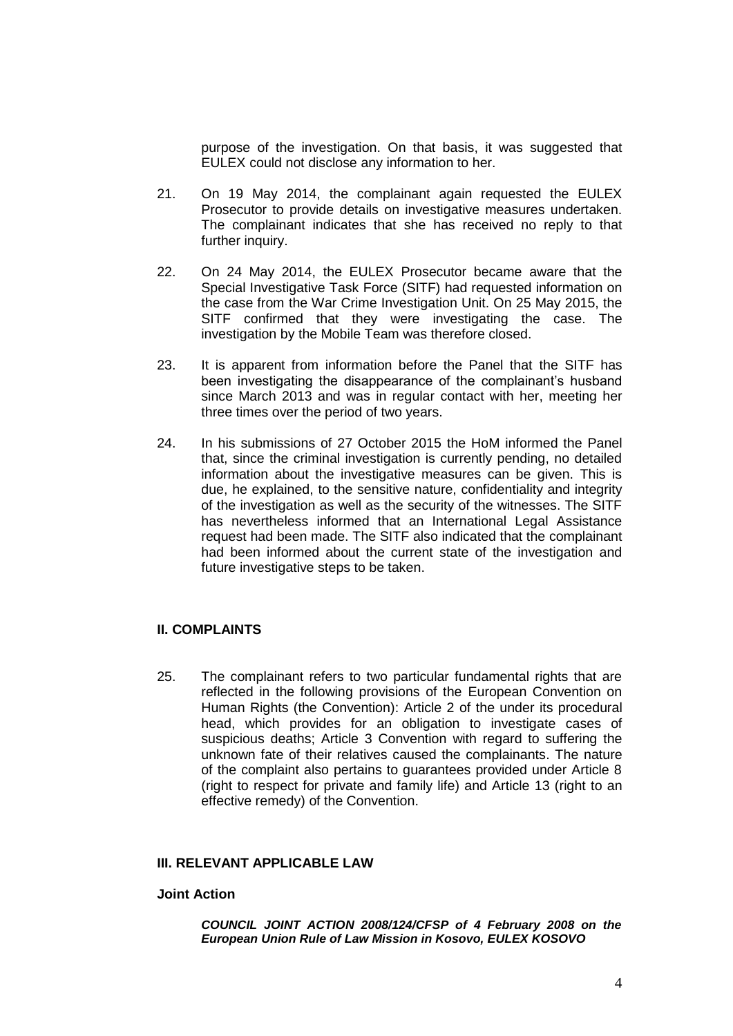purpose of the investigation. On that basis, it was suggested that EULEX could not disclose any information to her.

- 21. On 19 May 2014, the complainant again requested the EULEX Prosecutor to provide details on investigative measures undertaken. The complainant indicates that she has received no reply to that further inquiry.
- 22. On 24 May 2014, the EULEX Prosecutor became aware that the Special Investigative Task Force (SITF) had requested information on the case from the War Crime Investigation Unit. On 25 May 2015, the SITF confirmed that they were investigating the case. The investigation by the Mobile Team was therefore closed.
- 23. It is apparent from information before the Panel that the SITF has been investigating the disappearance of the complainant's husband since March 2013 and was in regular contact with her, meeting her three times over the period of two years.
- 24. In his submissions of 27 October 2015 the HoM informed the Panel that, since the criminal investigation is currently pending, no detailed information about the investigative measures can be given. This is due, he explained, to the sensitive nature, confidentiality and integrity of the investigation as well as the security of the witnesses. The SITF has nevertheless informed that an International Legal Assistance request had been made. The SITF also indicated that the complainant had been informed about the current state of the investigation and future investigative steps to be taken.

# **II. COMPLAINTS**

25. The complainant refers to two particular fundamental rights that are reflected in the following provisions of the European Convention on Human Rights (the Convention): Article 2 of the under its procedural head, which provides for an obligation to investigate cases of suspicious deaths; Article 3 Convention with regard to suffering the unknown fate of their relatives caused the complainants. The nature of the complaint also pertains to guarantees provided under Article 8 (right to respect for private and family life) and Article 13 (right to an effective remedy) of the Convention.

### **III. RELEVANT APPLICABLE LAW**

#### **Joint Action**

*COUNCIL JOINT ACTION 2008/124/CFSP of 4 February 2008 on the European Union Rule of Law Mission in Kosovo, EULEX KOSOVO*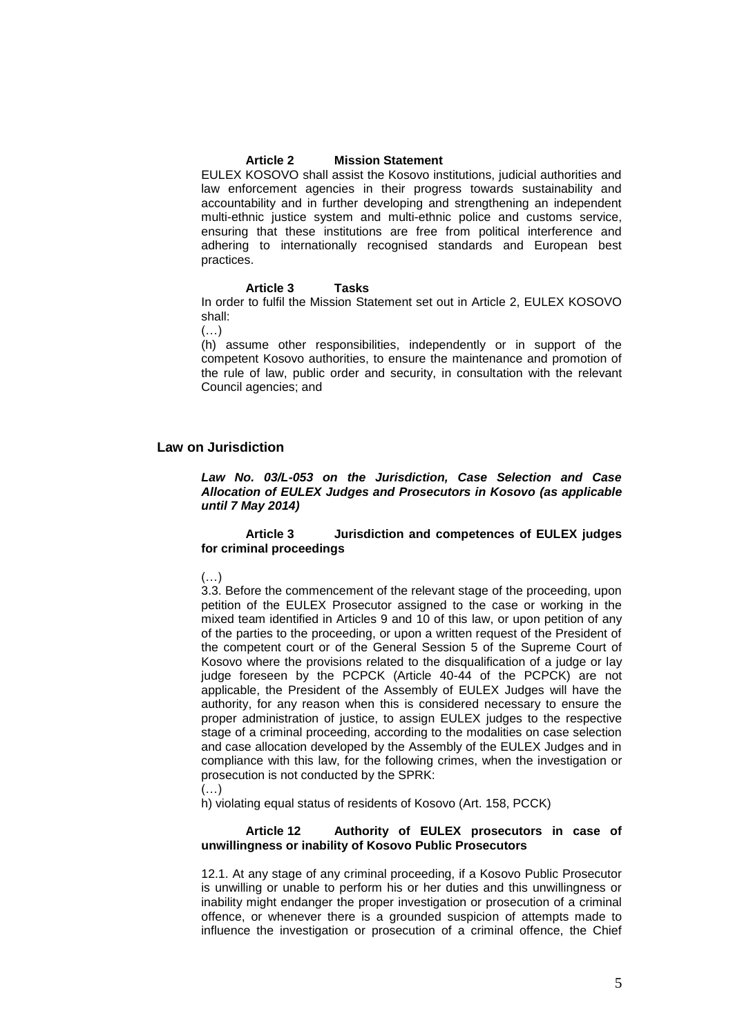#### **Article 2 Mission Statement**

EULEX KOSOVO shall assist the Kosovo institutions, judicial authorities and law enforcement agencies in their progress towards sustainability and accountability and in further developing and strengthening an independent multi-ethnic justice system and multi-ethnic police and customs service, ensuring that these institutions are free from political interference and adhering to internationally recognised standards and European best practices.

#### **Article 3 Tasks**

In order to fulfil the Mission Statement set out in Article 2, EULEX KOSOVO shall:

(…)

(h) assume other responsibilities, independently or in support of the competent Kosovo authorities, to ensure the maintenance and promotion of the rule of law, public order and security, in consultation with the relevant Council agencies; and

#### **Law on Jurisdiction**

*Law No. 03/L-053 on the Jurisdiction, Case Selection and Case Allocation of EULEX Judges and Prosecutors in Kosovo (as applicable until 7 May 2014)*

#### **Article 3 Jurisdiction and competences of EULEX judges for criminal proceedings**

#### $(\ldots)$

3.3. Before the commencement of the relevant stage of the proceeding, upon petition of the EULEX Prosecutor assigned to the case or working in the mixed team identified in Articles 9 and 10 of this law, or upon petition of any of the parties to the proceeding, or upon a written request of the President of the competent court or of the General Session 5 of the Supreme Court of Kosovo where the provisions related to the disqualification of a judge or lay judge foreseen by the PCPCK (Article 40-44 of the PCPCK) are not applicable, the President of the Assembly of EULEX Judges will have the authority, for any reason when this is considered necessary to ensure the proper administration of justice, to assign EULEX judges to the respective stage of a criminal proceeding, according to the modalities on case selection and case allocation developed by the Assembly of the EULEX Judges and in compliance with this law, for the following crimes, when the investigation or prosecution is not conducted by the SPRK:

(…)

h) violating equal status of residents of Kosovo (Art. 158, PCCK)

#### **Article 12 Authority of EULEX prosecutors in case of unwillingness or inability of Kosovo Public Prosecutors**

12.1. At any stage of any criminal proceeding, if a Kosovo Public Prosecutor is unwilling or unable to perform his or her duties and this unwillingness or inability might endanger the proper investigation or prosecution of a criminal offence, or whenever there is a grounded suspicion of attempts made to influence the investigation or prosecution of a criminal offence, the Chief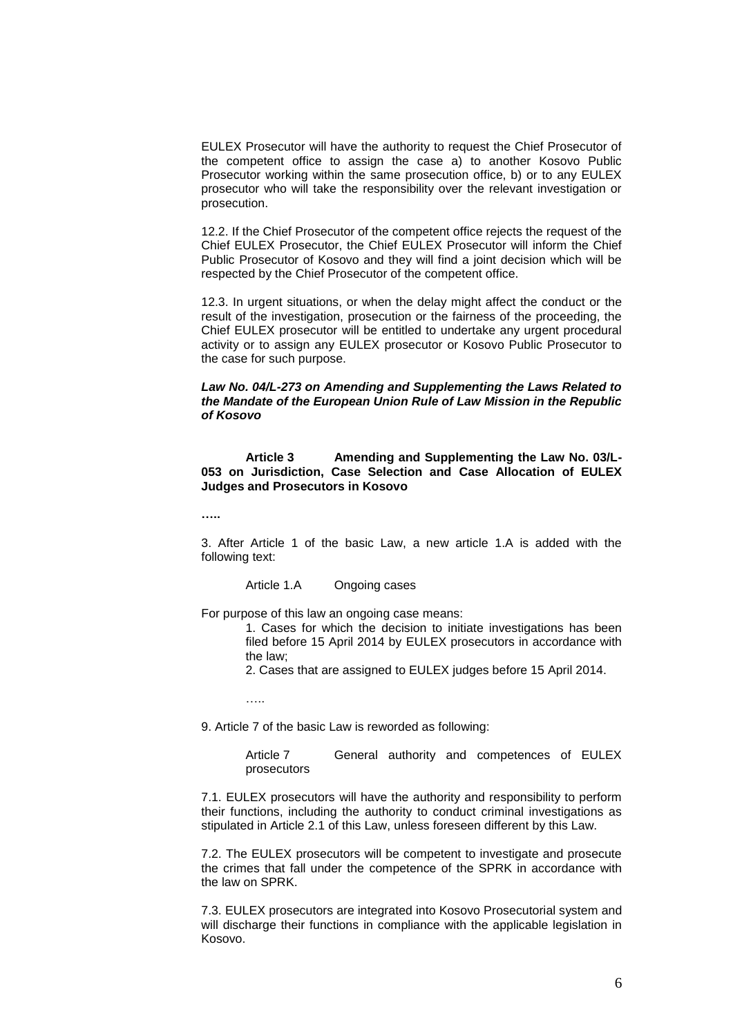EULEX Prosecutor will have the authority to request the Chief Prosecutor of the competent office to assign the case a) to another Kosovo Public Prosecutor working within the same prosecution office, b) or to any EULEX prosecutor who will take the responsibility over the relevant investigation or prosecution.

12.2. If the Chief Prosecutor of the competent office rejects the request of the Chief EULEX Prosecutor, the Chief EULEX Prosecutor will inform the Chief Public Prosecutor of Kosovo and they will find a joint decision which will be respected by the Chief Prosecutor of the competent office.

12.3. In urgent situations, or when the delay might affect the conduct or the result of the investigation, prosecution or the fairness of the proceeding, the Chief EULEX prosecutor will be entitled to undertake any urgent procedural activity or to assign any EULEX prosecutor or Kosovo Public Prosecutor to the case for such purpose.

#### *Law No. 04/L-273 on Amending and Supplementing the Laws Related to the Mandate of the European Union Rule of Law Mission in the Republic of Kosovo*

**Article 3 Amending and Supplementing the Law No. 03/L-053 on Jurisdiction, Case Selection and Case Allocation of EULEX Judges and Prosecutors in Kosovo**

**…..**

3. After Article 1 of the basic Law, a new article 1.A is added with the following text:

Article 1.A Ongoing cases

For purpose of this law an ongoing case means:

1. Cases for which the decision to initiate investigations has been filed before 15 April 2014 by EULEX prosecutors in accordance with the law;

2. Cases that are assigned to EULEX judges before 15 April 2014.

…..

9. Article 7 of the basic Law is reworded as following:

Article 7 General authority and competences of EULEX prosecutors

7.1. EULEX prosecutors will have the authority and responsibility to perform their functions, including the authority to conduct criminal investigations as stipulated in Article 2.1 of this Law, unless foreseen different by this Law.

7.2. The EULEX prosecutors will be competent to investigate and prosecute the crimes that fall under the competence of the SPRK in accordance with the law on SPRK.

7.3. EULEX prosecutors are integrated into Kosovo Prosecutorial system and will discharge their functions in compliance with the applicable legislation in Kosovo.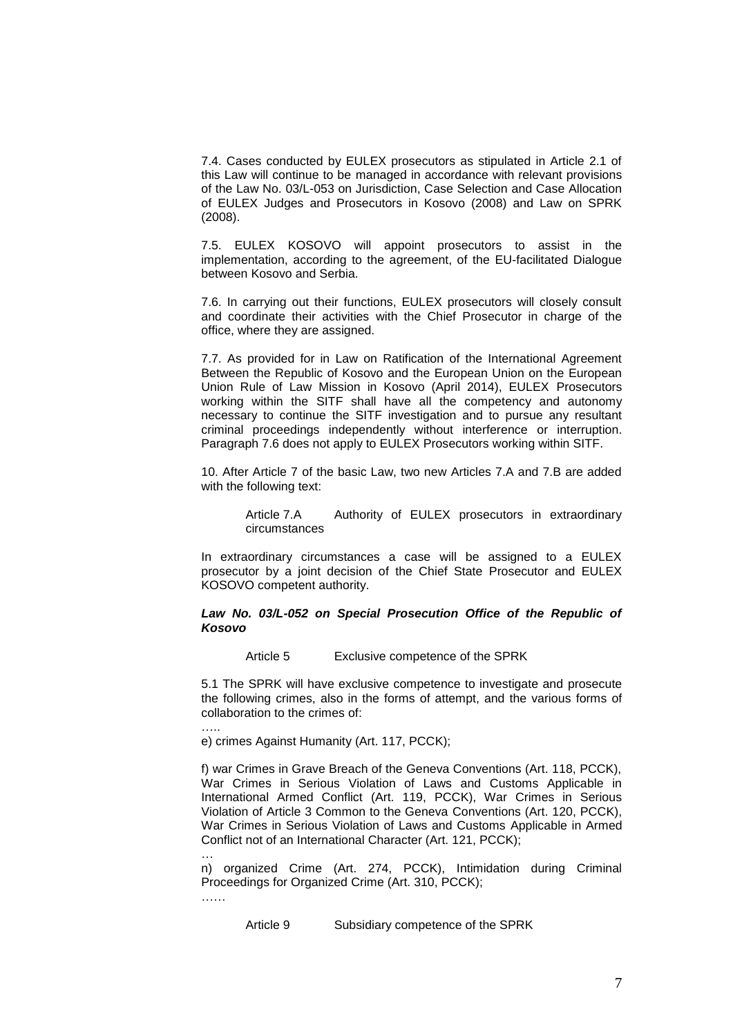7.4. Cases conducted by EULEX prosecutors as stipulated in Article 2.1 of this Law will continue to be managed in accordance with relevant provisions of the Law No. 03/L-053 on Jurisdiction, Case Selection and Case Allocation of EULEX Judges and Prosecutors in Kosovo (2008) and Law on SPRK (2008).

7.5. EULEX KOSOVO will appoint prosecutors to assist in the implementation, according to the agreement, of the EU-facilitated Dialogue between Kosovo and Serbia.

7.6. In carrying out their functions, EULEX prosecutors will closely consult and coordinate their activities with the Chief Prosecutor in charge of the office, where they are assigned.

7.7. As provided for in Law on Ratification of the International Agreement Between the Republic of Kosovo and the European Union on the European Union Rule of Law Mission in Kosovo (April 2014), EULEX Prosecutors working within the SITF shall have all the competency and autonomy necessary to continue the SITF investigation and to pursue any resultant criminal proceedings independently without interference or interruption. Paragraph 7.6 does not apply to EULEX Prosecutors working within SITF.

10. After Article 7 of the basic Law, two new Articles 7.A and 7.B are added with the following text:

> Article 7.A Authority of EULEX prosecutors in extraordinary circumstances

In extraordinary circumstances a case will be assigned to a EULEX prosecutor by a joint decision of the Chief State Prosecutor and EULEX KOSOVO competent authority.

#### *Law No. 03/L-052 on Special Prosecution Office of the Republic of Kosovo*

Article 5 Exclusive competence of the SPRK

5.1 The SPRK will have exclusive competence to investigate and prosecute the following crimes, also in the forms of attempt, and the various forms of collaboration to the crimes of:

e) crimes Against Humanity (Art. 117, PCCK);

f) war Crimes in Grave Breach of the Geneva Conventions (Art. 118, PCCK), War Crimes in Serious Violation of Laws and Customs Applicable in International Armed Conflict (Art. 119, PCCK), War Crimes in Serious Violation of Article 3 Common to the Geneva Conventions (Art. 120, PCCK), War Crimes in Serious Violation of Laws and Customs Applicable in Armed Conflict not of an International Character (Art. 121, PCCK);

n) organized Crime (Art. 274, PCCK), Intimidation during Criminal Proceedings for Organized Crime (Art. 310, PCCK);

……

…

…..

Article 9 Subsidiary competence of the SPRK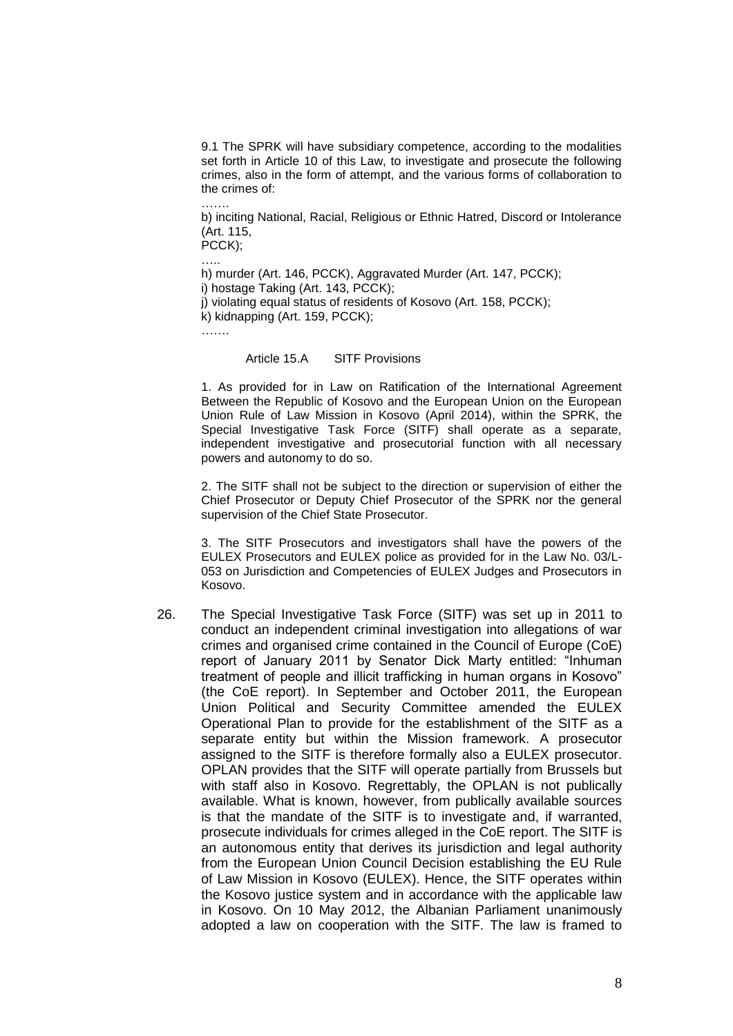9.1 The SPRK will have subsidiary competence, according to the modalities set forth in Article 10 of this Law, to investigate and prosecute the following crimes, also in the form of attempt, and the various forms of collaboration to the crimes of:

……. b) inciting National, Racial, Religious or Ethnic Hatred, Discord or Intolerance (Art. 115,

PCCK);

h) murder (Art. 146, PCCK), Aggravated Murder (Art. 147, PCCK); i) hostage Taking (Art. 143, PCCK); j) violating equal status of residents of Kosovo (Art. 158, PCCK); k) kidnapping (Art. 159, PCCK); …….

Article 15.A SITF Provisions

1. As provided for in Law on Ratification of the International Agreement Between the Republic of Kosovo and the European Union on the European Union Rule of Law Mission in Kosovo (April 2014), within the SPRK, the Special Investigative Task Force (SITF) shall operate as a separate, independent investigative and prosecutorial function with all necessary powers and autonomy to do so.

2. The SITF shall not be subject to the direction or supervision of either the Chief Prosecutor or Deputy Chief Prosecutor of the SPRK nor the general supervision of the Chief State Prosecutor.

3. The SITF Prosecutors and investigators shall have the powers of the EULEX Prosecutors and EULEX police as provided for in the Law No. 03/L-053 on Jurisdiction and Competencies of EULEX Judges and Prosecutors in Kosovo.

26. The Special Investigative Task Force (SITF) was set up in 2011 to conduct an independent criminal investigation into allegations of war crimes and organised crime contained in the Council of Europe (CoE) report of January 2011 by Senator Dick Marty entitled: "Inhuman treatment of people and illicit trafficking in human organs in Kosovo" (the CoE report). In September and October 2011, the European Union Political and Security Committee amended the EULEX Operational Plan to provide for the establishment of the SITF as a separate entity but within the Mission framework. A prosecutor assigned to the SITF is therefore formally also a EULEX prosecutor. OPLAN provides that the SITF will operate partially from Brussels but with staff also in Kosovo. Regrettably, the OPLAN is not publically available. What is known, however, from publically available sources is that the mandate of the SITF is to investigate and, if warranted, prosecute individuals for crimes alleged in the CoE report. The SITF is an autonomous entity that derives its jurisdiction and legal authority from the European Union Council Decision establishing the EU Rule of Law Mission in Kosovo (EULEX). Hence, the SITF operates within the Kosovo justice system and in accordance with the applicable law in Kosovo. On 10 May 2012, the Albanian Parliament unanimously adopted a law on cooperation with the SITF. The law is framed to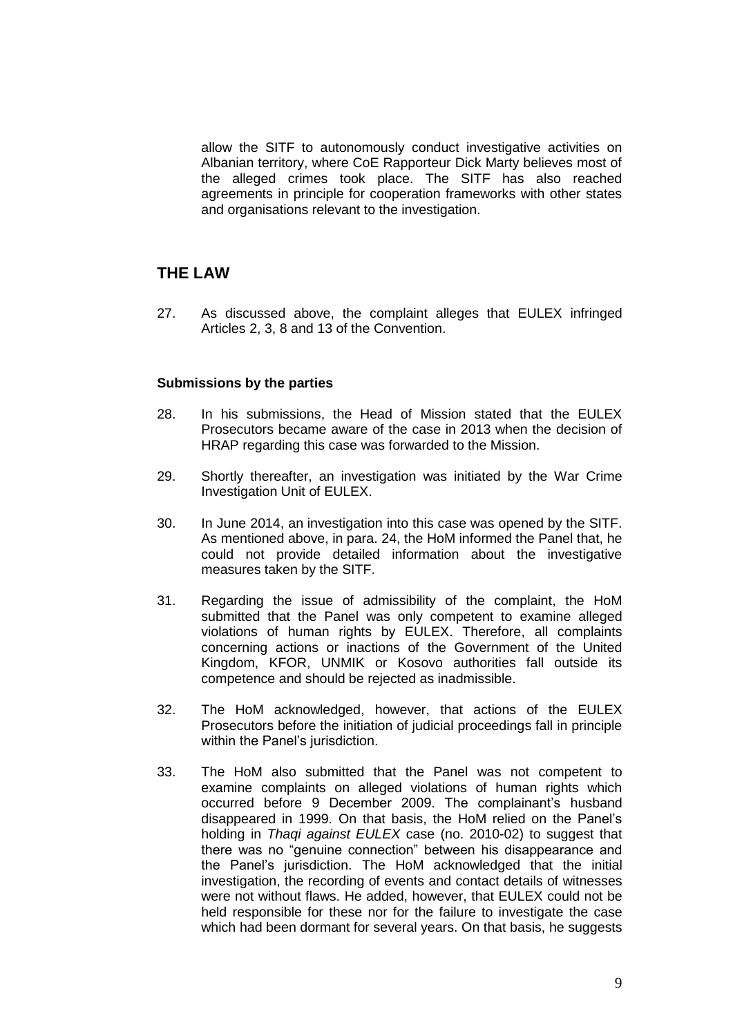allow the SITF to autonomously conduct investigative activities on Albanian territory, where CoE Rapporteur Dick Marty believes most of the alleged crimes took place. The SITF has also reached agreements in principle for cooperation frameworks with other states and organisations relevant to the investigation.

# **THE LAW**

27. As discussed above, the complaint alleges that EULEX infringed Articles 2, 3, 8 and 13 of the Convention.

### **Submissions by the parties**

- 28. In his submissions, the Head of Mission stated that the EULEX Prosecutors became aware of the case in 2013 when the decision of HRAP regarding this case was forwarded to the Mission.
- 29. Shortly thereafter, an investigation was initiated by the War Crime Investigation Unit of EULEX.
- 30. In June 2014, an investigation into this case was opened by the SITF. As mentioned above, in para. 24, the HoM informed the Panel that, he could not provide detailed information about the investigative measures taken by the SITF.
- 31. Regarding the issue of admissibility of the complaint, the HoM submitted that the Panel was only competent to examine alleged violations of human rights by EULEX. Therefore, all complaints concerning actions or inactions of the Government of the United Kingdom, KFOR, UNMIK or Kosovo authorities fall outside its competence and should be rejected as inadmissible.
- 32. The HoM acknowledged, however, that actions of the EULEX Prosecutors before the initiation of judicial proceedings fall in principle within the Panel's jurisdiction.
- 33. The HoM also submitted that the Panel was not competent to examine complaints on alleged violations of human rights which occurred before 9 December 2009. The complainant's husband disappeared in 1999. On that basis, the HoM relied on the Panel's holding in *Thaqi against EULEX* case (no. 2010-02) to suggest that there was no "genuine connection" between his disappearance and the Panel's jurisdiction. The HoM acknowledged that the initial investigation, the recording of events and contact details of witnesses were not without flaws. He added, however, that EULEX could not be held responsible for these nor for the failure to investigate the case which had been dormant for several years. On that basis, he suggests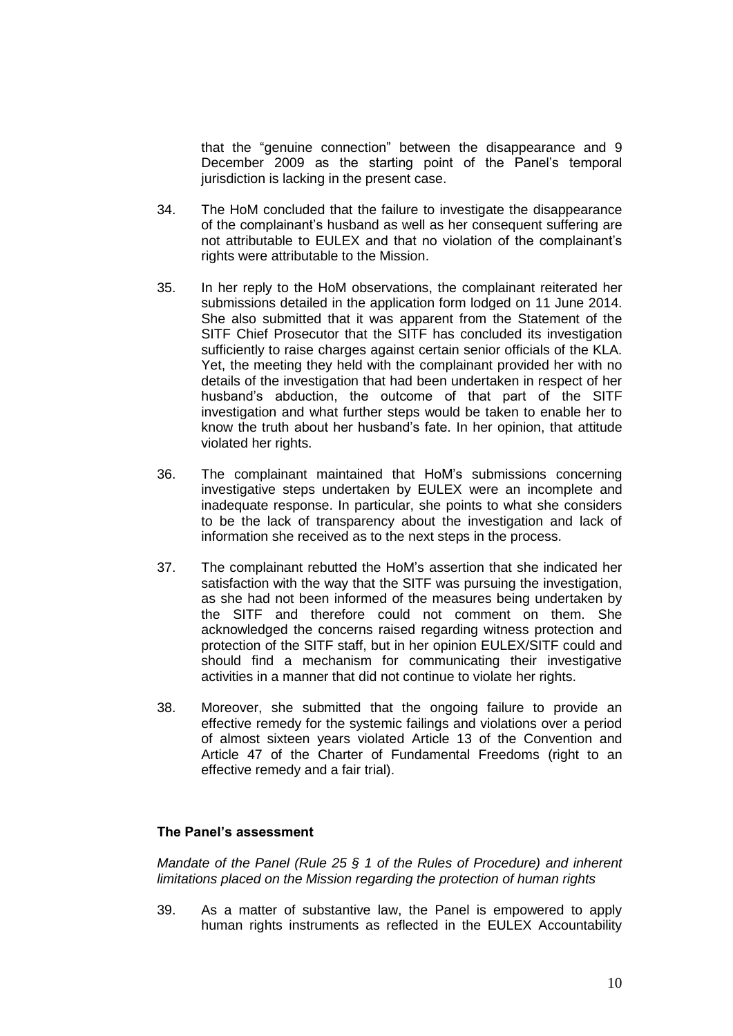that the "genuine connection" between the disappearance and 9 December 2009 as the starting point of the Panel's temporal jurisdiction is lacking in the present case.

- 34. The HoM concluded that the failure to investigate the disappearance of the complainant's husband as well as her consequent suffering are not attributable to EULEX and that no violation of the complainant's rights were attributable to the Mission.
- 35. In her reply to the HoM observations, the complainant reiterated her submissions detailed in the application form lodged on 11 June 2014. She also submitted that it was apparent from the Statement of the SITF Chief Prosecutor that the SITF has concluded its investigation sufficiently to raise charges against certain senior officials of the KLA. Yet, the meeting they held with the complainant provided her with no details of the investigation that had been undertaken in respect of her husband's abduction, the outcome of that part of the SITF investigation and what further steps would be taken to enable her to know the truth about her husband's fate. In her opinion, that attitude violated her rights.
- 36. The complainant maintained that HoM's submissions concerning investigative steps undertaken by EULEX were an incomplete and inadequate response. In particular, she points to what she considers to be the lack of transparency about the investigation and lack of information she received as to the next steps in the process.
- 37. The complainant rebutted the HoM's assertion that she indicated her satisfaction with the way that the SITF was pursuing the investigation, as she had not been informed of the measures being undertaken by the SITF and therefore could not comment on them. She acknowledged the concerns raised regarding witness protection and protection of the SITF staff, but in her opinion EULEX/SITF could and should find a mechanism for communicating their investigative activities in a manner that did not continue to violate her rights.
- 38. Moreover, she submitted that the ongoing failure to provide an effective remedy for the systemic failings and violations over a period of almost sixteen years violated Article 13 of the Convention and Article 47 of the Charter of Fundamental Freedoms (right to an effective remedy and a fair trial).

# **The Panel's assessment**

*Mandate of the Panel (Rule 25 § 1 of the Rules of Procedure) and inherent limitations placed on the Mission regarding the protection of human rights* 

39. As a matter of substantive law, the Panel is empowered to apply human rights instruments as reflected in the EULEX Accountability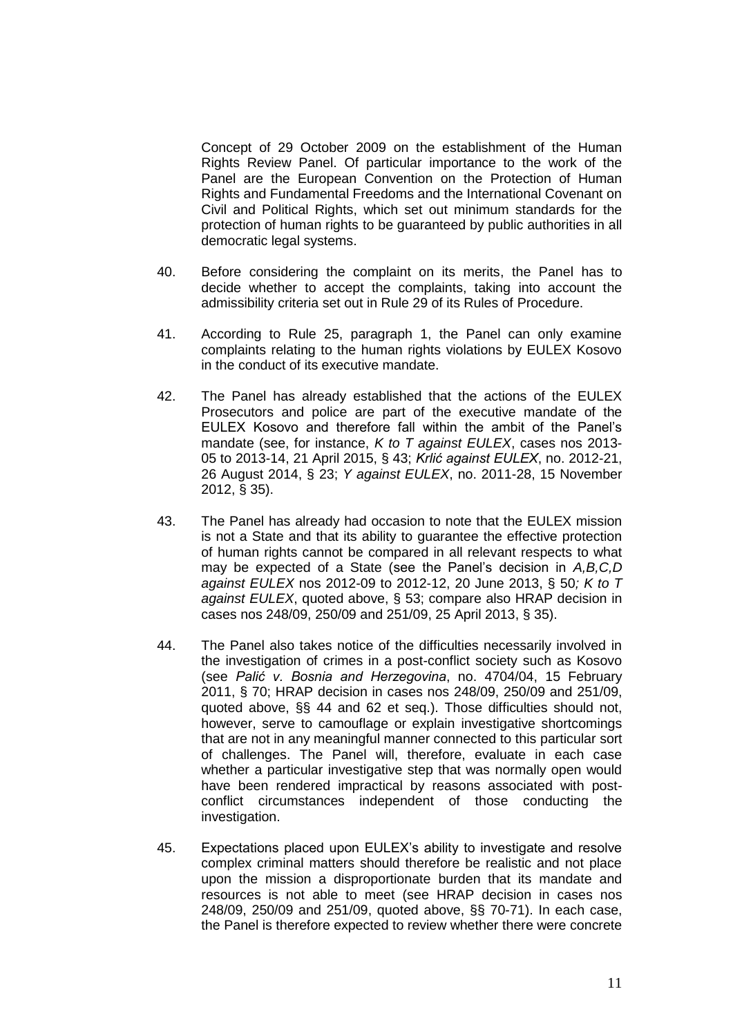Concept of 29 October 2009 on the establishment of the Human Rights Review Panel. Of particular importance to the work of the Panel are the European Convention on the Protection of Human Rights and Fundamental Freedoms and the International Covenant on Civil and Political Rights, which set out minimum standards for the protection of human rights to be guaranteed by public authorities in all democratic legal systems.

- 40. Before considering the complaint on its merits, the Panel has to decide whether to accept the complaints, taking into account the admissibility criteria set out in Rule 29 of its Rules of Procedure.
- 41. According to Rule 25, paragraph 1, the Panel can only examine complaints relating to the human rights violations by EULEX Kosovo in the conduct of its executive mandate.
- 42. The Panel has already established that the actions of the EULEX Prosecutors and police are part of the executive mandate of the EULEX Kosovo and therefore fall within the ambit of the Panel's mandate (see, for instance, *K to T against EULEX*, cases nos 2013- 05 to 2013-14, 21 April 2015, § 43; *Krlić against EULEX*, no. 2012-21, 26 August 2014, § 23; *Y against EULEX*, no. 2011-28, 15 November 2012, § 35).
- 43. The Panel has already had occasion to note that the EULEX mission is not a State and that its ability to guarantee the effective protection of human rights cannot be compared in all relevant respects to what may be expected of a State (see the Panel's decision in *A,B,C,D against EULEX* nos 2012-09 to 2012-12, 20 June 2013, § 50*; K to T against EULEX*, quoted above, § 53; compare also HRAP decision in cases nos 248/09, 250/09 and 251/09, 25 April 2013, § 35).
- 44. The Panel also takes notice of the difficulties necessarily involved in the investigation of crimes in a post-conflict society such as Kosovo (see *Palić v. Bosnia and Herzegovina*, no. 4704/04, 15 February 2011, § 70; HRAP decision in cases nos 248/09, 250/09 and 251/09, quoted above, §§ 44 and 62 et seq.). Those difficulties should not, however, serve to camouflage or explain investigative shortcomings that are not in any meaningful manner connected to this particular sort of challenges. The Panel will, therefore, evaluate in each case whether a particular investigative step that was normally open would have been rendered impractical by reasons associated with postconflict circumstances independent of those conducting the investigation.
- 45. Expectations placed upon EULEX's ability to investigate and resolve complex criminal matters should therefore be realistic and not place upon the mission a disproportionate burden that its mandate and resources is not able to meet (see HRAP decision in cases nos 248/09, 250/09 and 251/09, quoted above, §§ 70-71). In each case, the Panel is therefore expected to review whether there were concrete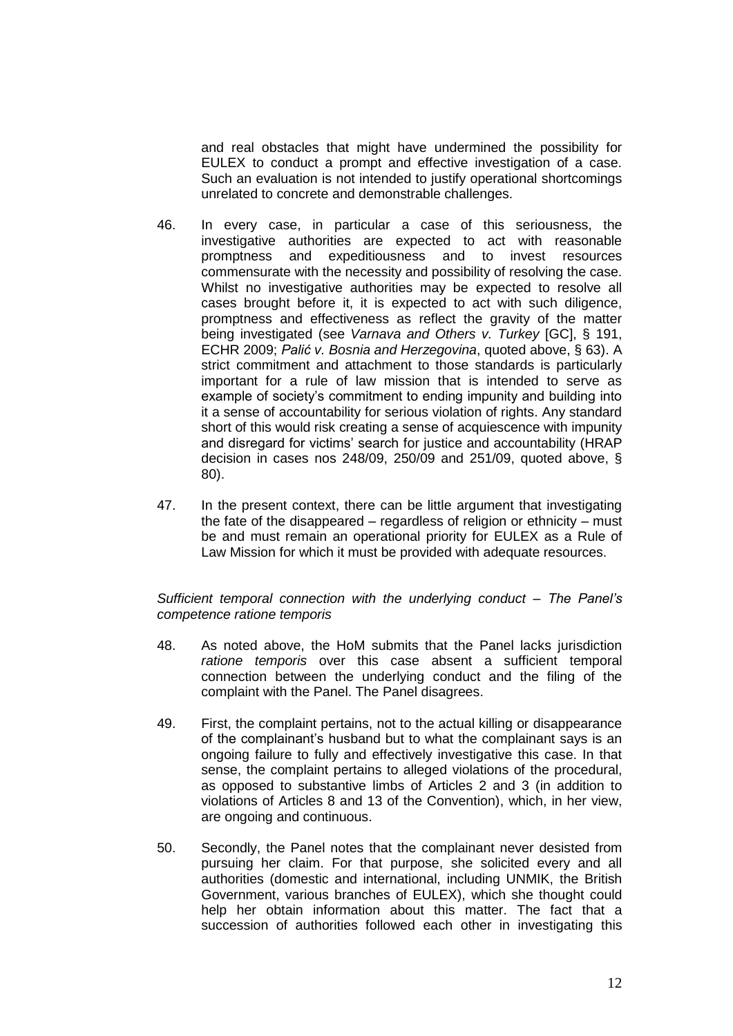and real obstacles that might have undermined the possibility for EULEX to conduct a prompt and effective investigation of a case. Such an evaluation is not intended to justify operational shortcomings unrelated to concrete and demonstrable challenges.

- 46. In every case, in particular a case of this seriousness, the investigative authorities are expected to act with reasonable promptness and expeditiousness and to invest resources commensurate with the necessity and possibility of resolving the case. Whilst no investigative authorities may be expected to resolve all cases brought before it, it is expected to act with such diligence, promptness and effectiveness as reflect the gravity of the matter being investigated (see *Varnava and Others v. Turkey* [GC], § 191, ECHR 2009; *Palić v. Bosnia and Herzegovina*, quoted above, § 63). A strict commitment and attachment to those standards is particularly important for a rule of law mission that is intended to serve as example of society's commitment to ending impunity and building into it a sense of accountability for serious violation of rights. Any standard short of this would risk creating a sense of acquiescence with impunity and disregard for victims' search for justice and accountability (HRAP decision in cases nos 248/09, 250/09 and 251/09, quoted above, § 80).
- 47. In the present context, there can be little argument that investigating the fate of the disappeared – regardless of religion or ethnicity – must be and must remain an operational priority for EULEX as a Rule of Law Mission for which it must be provided with adequate resources.

### *Sufficient temporal connection with the underlying conduct – The Panel's competence ratione temporis*

- 48. As noted above, the HoM submits that the Panel lacks jurisdiction *ratione temporis* over this case absent a sufficient temporal connection between the underlying conduct and the filing of the complaint with the Panel. The Panel disagrees.
- 49. First, the complaint pertains, not to the actual killing or disappearance of the complainant's husband but to what the complainant says is an ongoing failure to fully and effectively investigative this case. In that sense, the complaint pertains to alleged violations of the procedural, as opposed to substantive limbs of Articles 2 and 3 (in addition to violations of Articles 8 and 13 of the Convention), which, in her view, are ongoing and continuous.
- 50. Secondly, the Panel notes that the complainant never desisted from pursuing her claim. For that purpose, she solicited every and all authorities (domestic and international, including UNMIK, the British Government, various branches of EULEX), which she thought could help her obtain information about this matter. The fact that a succession of authorities followed each other in investigating this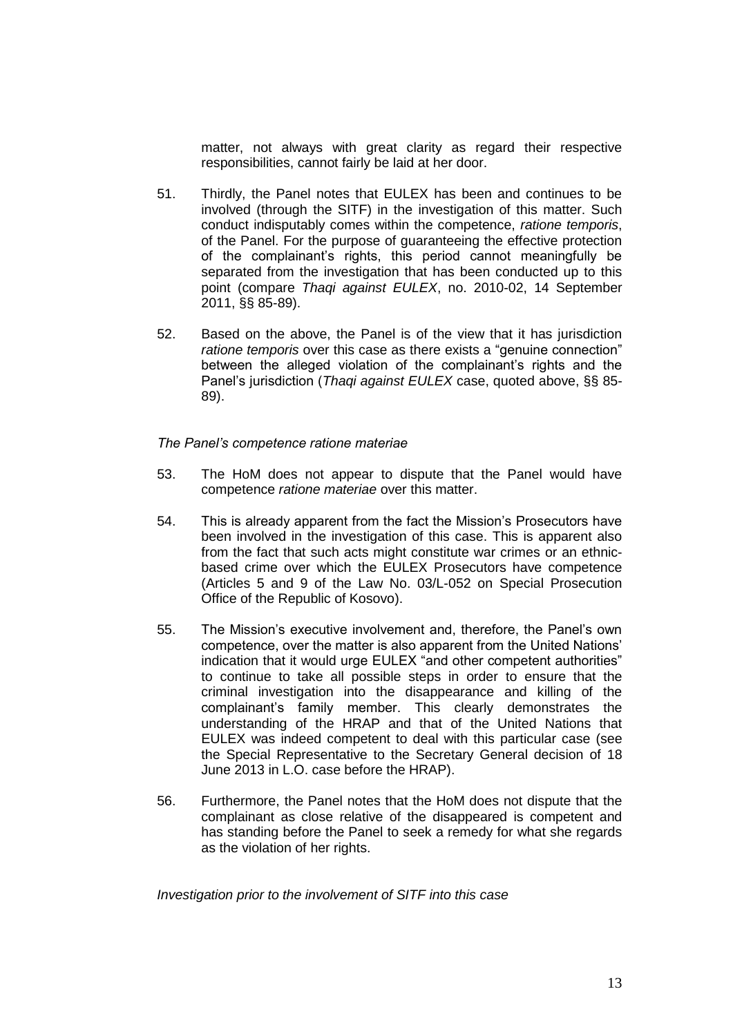matter, not always with great clarity as regard their respective responsibilities, cannot fairly be laid at her door.

- 51. Thirdly, the Panel notes that EULEX has been and continues to be involved (through the SITF) in the investigation of this matter. Such conduct indisputably comes within the competence, *ratione temporis*, of the Panel. For the purpose of guaranteeing the effective protection of the complainant's rights, this period cannot meaningfully be separated from the investigation that has been conducted up to this point (compare *Thaqi against EULEX*, no. 2010-02, 14 September 2011, §§ 85-89).
- 52. Based on the above, the Panel is of the view that it has jurisdiction *ratione temporis* over this case as there exists a "genuine connection" between the alleged violation of the complainant's rights and the Panel's jurisdiction (*Thaqi against EULEX* case, quoted above, §§ 85- 89).

*The Panel's competence ratione materiae*

- 53. The HoM does not appear to dispute that the Panel would have competence *ratione materiae* over this matter.
- 54. This is already apparent from the fact the Mission's Prosecutors have been involved in the investigation of this case. This is apparent also from the fact that such acts might constitute war crimes or an ethnicbased crime over which the EULEX Prosecutors have competence (Articles 5 and 9 of the Law No. 03/L-052 on Special Prosecution Office of the Republic of Kosovo).
- 55. The Mission's executive involvement and, therefore, the Panel's own competence, over the matter is also apparent from the United Nations' indication that it would urge EULEX "and other competent authorities" to continue to take all possible steps in order to ensure that the criminal investigation into the disappearance and killing of the complainant's family member. This clearly demonstrates the understanding of the HRAP and that of the United Nations that EULEX was indeed competent to deal with this particular case (see the Special Representative to the Secretary General decision of 18 June 2013 in L.O. case before the HRAP).
- 56. Furthermore, the Panel notes that the HoM does not dispute that the complainant as close relative of the disappeared is competent and has standing before the Panel to seek a remedy for what she regards as the violation of her rights.

*Investigation prior to the involvement of SITF into this case*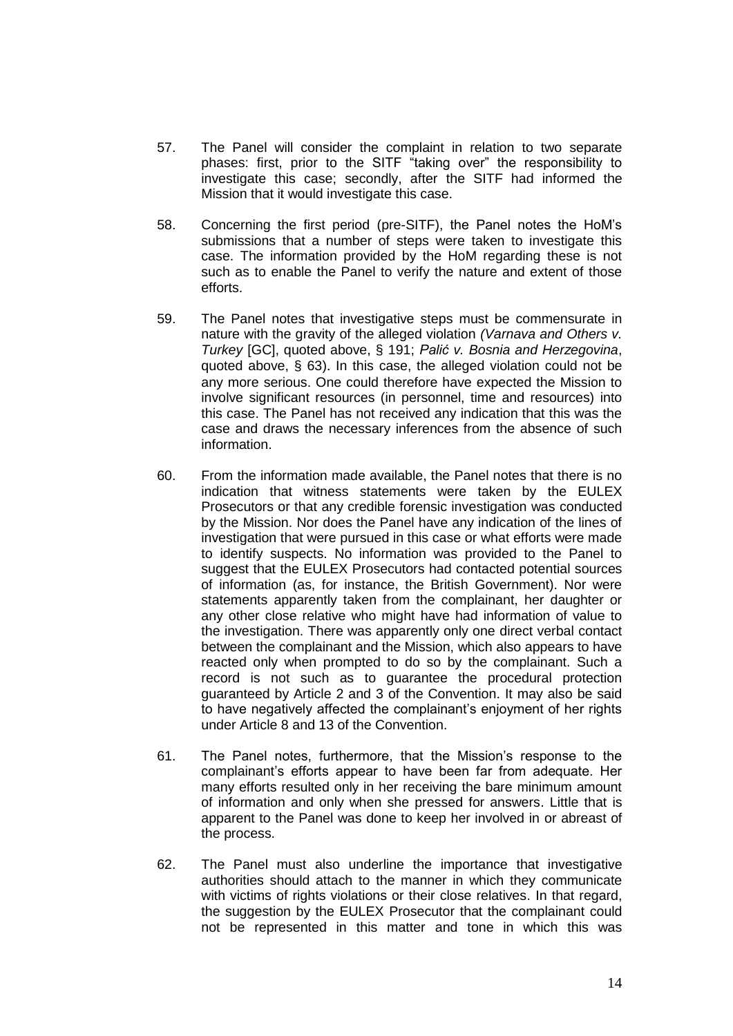- 57. The Panel will consider the complaint in relation to two separate phases: first, prior to the SITF "taking over" the responsibility to investigate this case; secondly, after the SITF had informed the Mission that it would investigate this case.
- 58. Concerning the first period (pre-SITF), the Panel notes the HoM's submissions that a number of steps were taken to investigate this case. The information provided by the HoM regarding these is not such as to enable the Panel to verify the nature and extent of those efforts.
- 59. The Panel notes that investigative steps must be commensurate in nature with the gravity of the alleged violation *(Varnava and Others v. Turkey* [GC], quoted above, § 191; *Palić v. Bosnia and Herzegovina*, quoted above, § 63). In this case, the alleged violation could not be any more serious. One could therefore have expected the Mission to involve significant resources (in personnel, time and resources) into this case. The Panel has not received any indication that this was the case and draws the necessary inferences from the absence of such information.
- 60. From the information made available, the Panel notes that there is no indication that witness statements were taken by the EULEX Prosecutors or that any credible forensic investigation was conducted by the Mission. Nor does the Panel have any indication of the lines of investigation that were pursued in this case or what efforts were made to identify suspects. No information was provided to the Panel to suggest that the EULEX Prosecutors had contacted potential sources of information (as, for instance, the British Government). Nor were statements apparently taken from the complainant, her daughter or any other close relative who might have had information of value to the investigation. There was apparently only one direct verbal contact between the complainant and the Mission, which also appears to have reacted only when prompted to do so by the complainant. Such a record is not such as to guarantee the procedural protection guaranteed by Article 2 and 3 of the Convention. It may also be said to have negatively affected the complainant's enjoyment of her rights under Article 8 and 13 of the Convention.
- 61. The Panel notes, furthermore, that the Mission's response to the complainant's efforts appear to have been far from adequate. Her many efforts resulted only in her receiving the bare minimum amount of information and only when she pressed for answers. Little that is apparent to the Panel was done to keep her involved in or abreast of the process.
- 62. The Panel must also underline the importance that investigative authorities should attach to the manner in which they communicate with victims of rights violations or their close relatives. In that regard, the suggestion by the EULEX Prosecutor that the complainant could not be represented in this matter and tone in which this was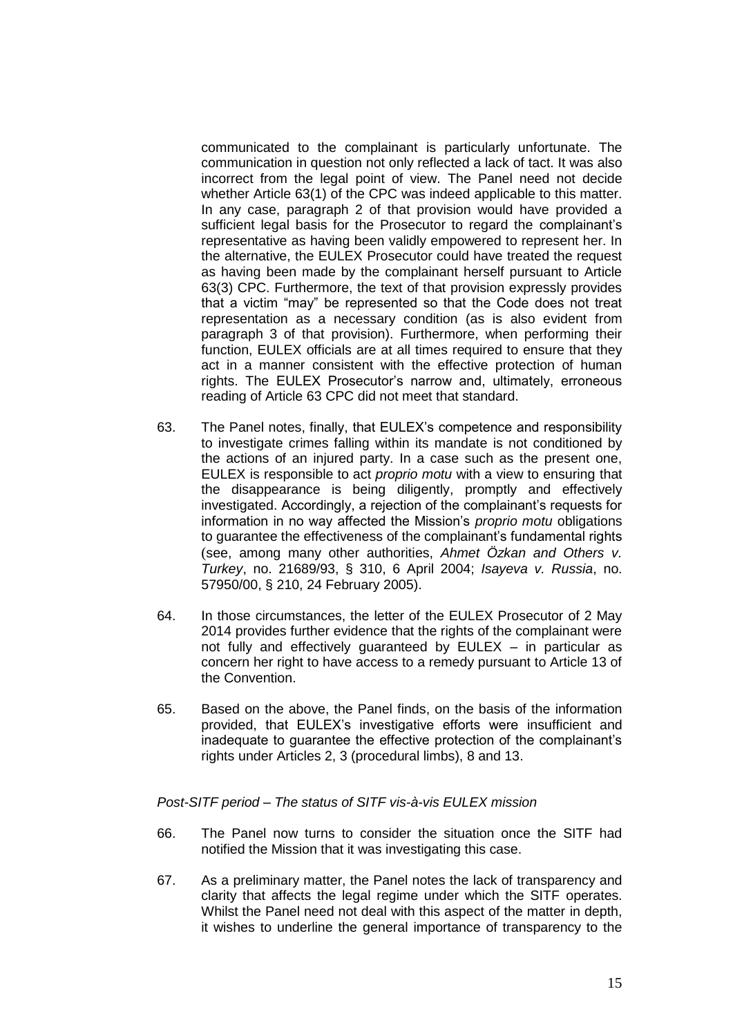communicated to the complainant is particularly unfortunate. The communication in question not only reflected a lack of tact. It was also incorrect from the legal point of view. The Panel need not decide whether Article 63(1) of the CPC was indeed applicable to this matter. In any case, paragraph 2 of that provision would have provided a sufficient legal basis for the Prosecutor to regard the complainant's representative as having been validly empowered to represent her. In the alternative, the EULEX Prosecutor could have treated the request as having been made by the complainant herself pursuant to Article 63(3) CPC. Furthermore, the text of that provision expressly provides that a victim "may" be represented so that the Code does not treat representation as a necessary condition (as is also evident from paragraph 3 of that provision). Furthermore, when performing their function, EULEX officials are at all times required to ensure that they act in a manner consistent with the effective protection of human rights. The EULEX Prosecutor's narrow and, ultimately, erroneous reading of Article 63 CPC did not meet that standard.

- 63. The Panel notes, finally, that EULEX's competence and responsibility to investigate crimes falling within its mandate is not conditioned by the actions of an injured party. In a case such as the present one, EULEX is responsible to act *proprio motu* with a view to ensuring that the disappearance is being diligently, promptly and effectively investigated. Accordingly, a rejection of the complainant's requests for information in no way affected the Mission's *proprio motu* obligations to guarantee the effectiveness of the complainant's fundamental rights (see, among many other authorities, *Ahmet Özkan and Others v. Turkey*, no. 21689/93, § 310, 6 April 2004; *Isayeva v. Russia*, no. 57950/00, § 210, 24 February 2005).
- 64. In those circumstances, the letter of the EULEX Prosecutor of 2 May 2014 provides further evidence that the rights of the complainant were not fully and effectively guaranteed by EULEX – in particular as concern her right to have access to a remedy pursuant to Article 13 of the Convention.
- 65. Based on the above, the Panel finds, on the basis of the information provided, that EULEX's investigative efforts were insufficient and inadequate to guarantee the effective protection of the complainant's rights under Articles 2, 3 (procedural limbs), 8 and 13.

*Post-SITF period – The status of SITF vis-à-vis EULEX mission* 

- 66. The Panel now turns to consider the situation once the SITF had notified the Mission that it was investigating this case.
- 67. As a preliminary matter, the Panel notes the lack of transparency and clarity that affects the legal regime under which the SITF operates. Whilst the Panel need not deal with this aspect of the matter in depth, it wishes to underline the general importance of transparency to the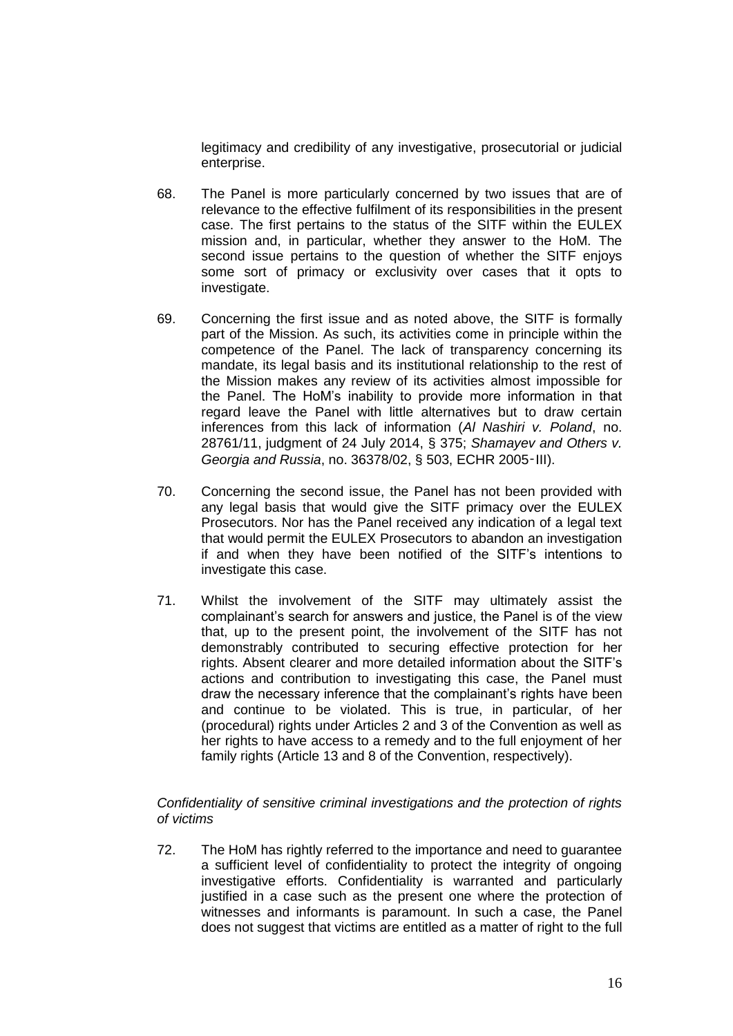legitimacy and credibility of any investigative, prosecutorial or judicial enterprise.

- 68. The Panel is more particularly concerned by two issues that are of relevance to the effective fulfilment of its responsibilities in the present case. The first pertains to the status of the SITF within the EULEX mission and, in particular, whether they answer to the HoM. The second issue pertains to the question of whether the SITF enjoys some sort of primacy or exclusivity over cases that it opts to investigate.
- 69. Concerning the first issue and as noted above, the SITF is formally part of the Mission. As such, its activities come in principle within the competence of the Panel. The lack of transparency concerning its mandate, its legal basis and its institutional relationship to the rest of the Mission makes any review of its activities almost impossible for the Panel. The HoM's inability to provide more information in that regard leave the Panel with little alternatives but to draw certain inferences from this lack of information (*Al Nashiri v. Poland*, no. 28761/11, judgment of 24 July 2014, § 375; *Shamayev and Others v. Georgia and Russia*, no. 36378/02, § 503, ECHR 2005‑III).
- 70. Concerning the second issue, the Panel has not been provided with any legal basis that would give the SITF primacy over the EULEX Prosecutors. Nor has the Panel received any indication of a legal text that would permit the EULEX Prosecutors to abandon an investigation if and when they have been notified of the SITF's intentions to investigate this case.
- 71. Whilst the involvement of the SITF may ultimately assist the complainant's search for answers and justice, the Panel is of the view that, up to the present point, the involvement of the SITF has not demonstrably contributed to securing effective protection for her rights. Absent clearer and more detailed information about the SITF's actions and contribution to investigating this case, the Panel must draw the necessary inference that the complainant's rights have been and continue to be violated. This is true, in particular, of her (procedural) rights under Articles 2 and 3 of the Convention as well as her rights to have access to a remedy and to the full enjoyment of her family rights (Article 13 and 8 of the Convention, respectively).

# *Confidentiality of sensitive criminal investigations and the protection of rights of victims*

72. The HoM has rightly referred to the importance and need to guarantee a sufficient level of confidentiality to protect the integrity of ongoing investigative efforts. Confidentiality is warranted and particularly justified in a case such as the present one where the protection of witnesses and informants is paramount. In such a case, the Panel does not suggest that victims are entitled as a matter of right to the full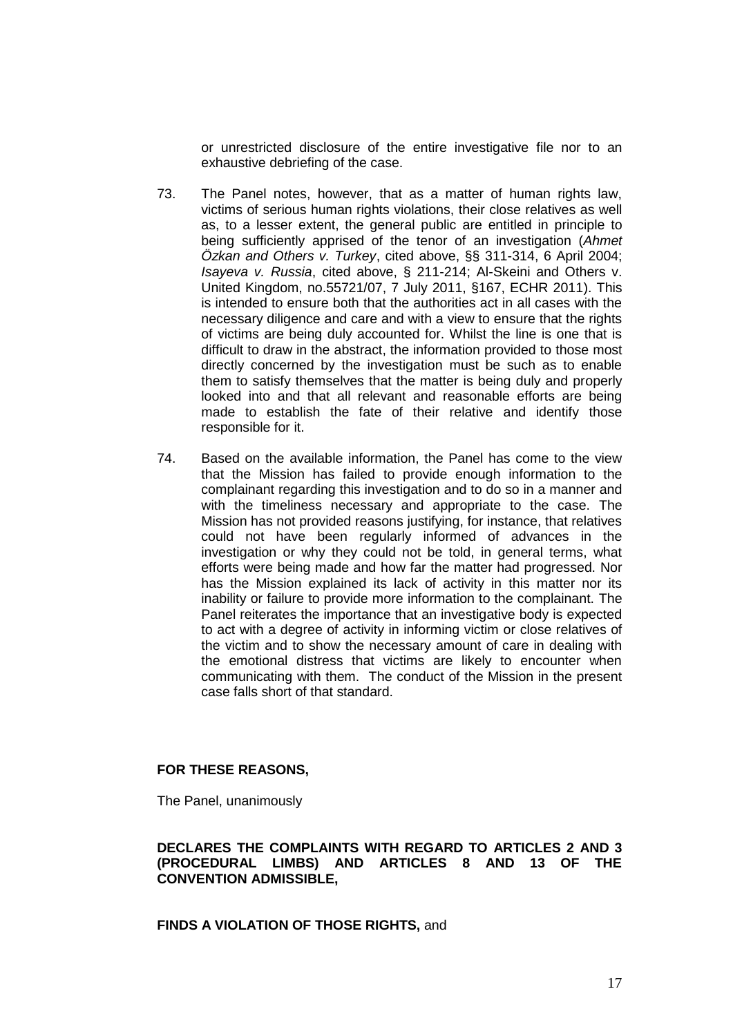or unrestricted disclosure of the entire investigative file nor to an exhaustive debriefing of the case.

- 73. The Panel notes, however, that as a matter of human rights law, victims of serious human rights violations, their close relatives as well as, to a lesser extent, the general public are entitled in principle to being sufficiently apprised of the tenor of an investigation (*Ahmet Özkan and Others v. Turkey*, cited above, §§ 311-314, 6 April 2004; *Isayeva v. Russia*, cited above, § 211-214; Al-Skeini and Others v. United Kingdom, no.55721/07, 7 July 2011, §167, ECHR 2011). This is intended to ensure both that the authorities act in all cases with the necessary diligence and care and with a view to ensure that the rights of victims are being duly accounted for. Whilst the line is one that is difficult to draw in the abstract, the information provided to those most directly concerned by the investigation must be such as to enable them to satisfy themselves that the matter is being duly and properly looked into and that all relevant and reasonable efforts are being made to establish the fate of their relative and identify those responsible for it.
- 74. Based on the available information, the Panel has come to the view that the Mission has failed to provide enough information to the complainant regarding this investigation and to do so in a manner and with the timeliness necessary and appropriate to the case. The Mission has not provided reasons justifying, for instance, that relatives could not have been regularly informed of advances in the investigation or why they could not be told, in general terms, what efforts were being made and how far the matter had progressed. Nor has the Mission explained its lack of activity in this matter nor its inability or failure to provide more information to the complainant. The Panel reiterates the importance that an investigative body is expected to act with a degree of activity in informing victim or close relatives of the victim and to show the necessary amount of care in dealing with the emotional distress that victims are likely to encounter when communicating with them. The conduct of the Mission in the present case falls short of that standard.

### **FOR THESE REASONS,**

The Panel, unanimously

### **DECLARES THE COMPLAINTS WITH REGARD TO ARTICLES 2 AND 3 (PROCEDURAL LIMBS) AND ARTICLES 8 AND 13 OF THE CONVENTION ADMISSIBLE,**

**FINDS A VIOLATION OF THOSE RIGHTS,** and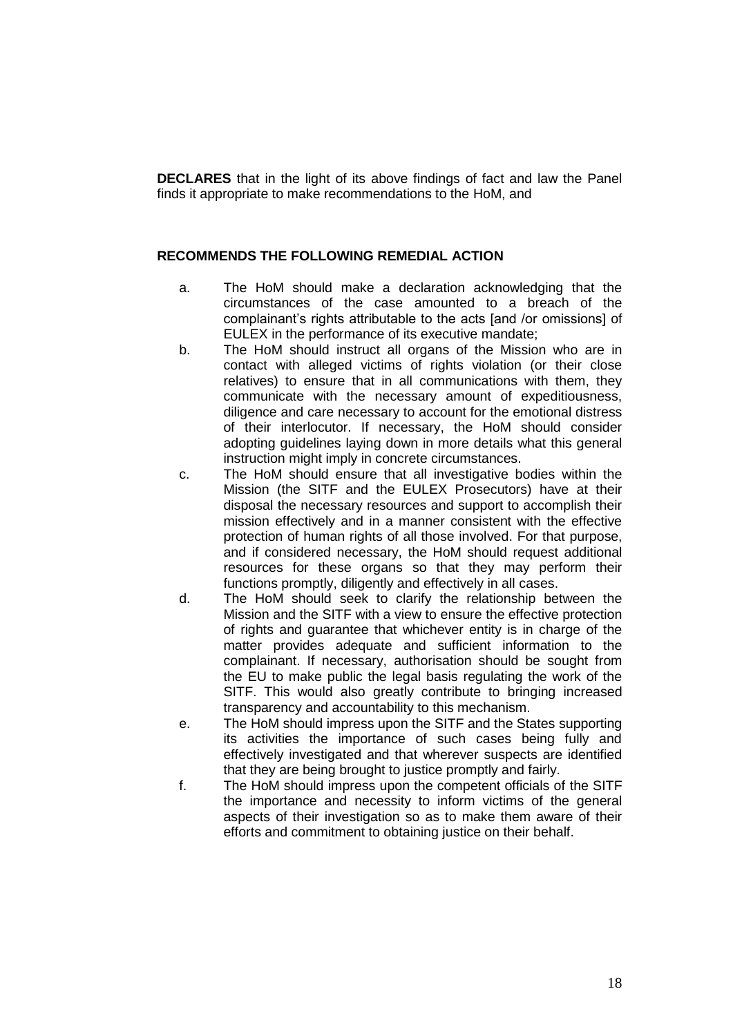**DECLARES** that in the light of its above findings of fact and law the Panel finds it appropriate to make recommendations to the HoM, and

### **RECOMMENDS THE FOLLOWING REMEDIAL ACTION**

- a. The HoM should make a declaration acknowledging that the circumstances of the case amounted to a breach of the complainant's rights attributable to the acts [and /or omissions] of EULEX in the performance of its executive mandate;
- b. The HoM should instruct all organs of the Mission who are in contact with alleged victims of rights violation (or their close relatives) to ensure that in all communications with them, they communicate with the necessary amount of expeditiousness, diligence and care necessary to account for the emotional distress of their interlocutor. If necessary, the HoM should consider adopting guidelines laying down in more details what this general instruction might imply in concrete circumstances.
- c. The HoM should ensure that all investigative bodies within the Mission (the SITF and the EULEX Prosecutors) have at their disposal the necessary resources and support to accomplish their mission effectively and in a manner consistent with the effective protection of human rights of all those involved. For that purpose, and if considered necessary, the HoM should request additional resources for these organs so that they may perform their functions promptly, diligently and effectively in all cases.
- d. The HoM should seek to clarify the relationship between the Mission and the SITF with a view to ensure the effective protection of rights and guarantee that whichever entity is in charge of the matter provides adequate and sufficient information to the complainant. If necessary, authorisation should be sought from the EU to make public the legal basis regulating the work of the SITF. This would also greatly contribute to bringing increased transparency and accountability to this mechanism.
- e. The HoM should impress upon the SITF and the States supporting its activities the importance of such cases being fully and effectively investigated and that wherever suspects are identified that they are being brought to justice promptly and fairly.
- f. The HoM should impress upon the competent officials of the SITF the importance and necessity to inform victims of the general aspects of their investigation so as to make them aware of their efforts and commitment to obtaining justice on their behalf.